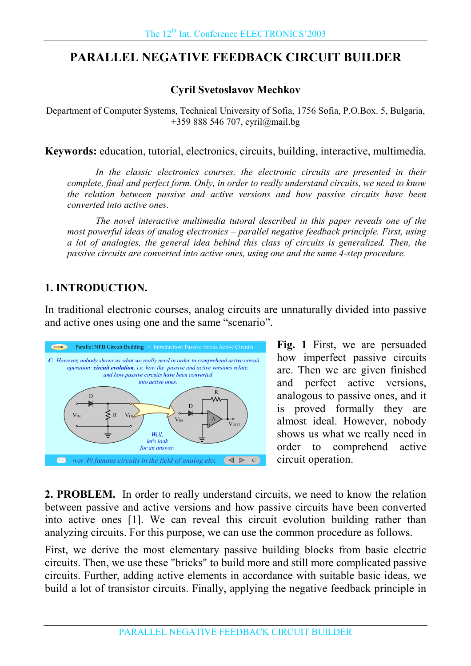# **PARALLEL NEGATIVE FEEDBACK CIRCUIT BUILDER**

## **Cyril Svetoslavov Mechkov**

Department of Computer Systems, Technical University of Sofia, 1756 Sofia, P.O.Box. 5, Bulgaria, +359 888 546 707, cyril@mail.bg

**Keywords:** education, tutorial, electronics, circuits, building, interactive, multimedia.

In the classic electronics courses, the electronic circuits are presented in their complete, final and perfect form. Only, in order to really understand circuits, we need to know the relation between passive and active versions and how passive circuits have been converted into active ones.

The novel interactive multimedia tutoral described in this paper reveals one of the most powerful ideas of analog electronics  $-$  parallel negative feedback principle. First, using a lot of analogies, the general idea behind this class of circuits is generalized. Then, the passive circuits are converted into active ones, using one and the same 4-step procedure.

## **1. INTRODUCTION.**

In traditional electronic courses, analog circuits are unnaturally divided into passive and active ones using one and the same "scenario".



**Fig. 1** First, we are persuaded how imperfect passive circuits are. Then we are given finished and perfect active versions, analogous to passive ones, and it is proved formally they are almost ideal. However, nobody shows us what we really need in order to comprehend active circuit operation.

**2. PROBLEM.** In order to really understand circuits, we need to know the relation between passive and active versions and how passive circuits have been converted into active ones [1]. We can reveal this circuit evolution building rather than analyzing circuits. For this purpose, we can use the common procedure as follows.

First, we derive the most elementary passive building blocks from basic electric circuits. Then, we use these "bricks" to build more and still more complicated passive circuits. Further, adding active elements in accordance with suitable basic ideas, we build a lot of transistor circuits. Finally, applying the negative feedback principle in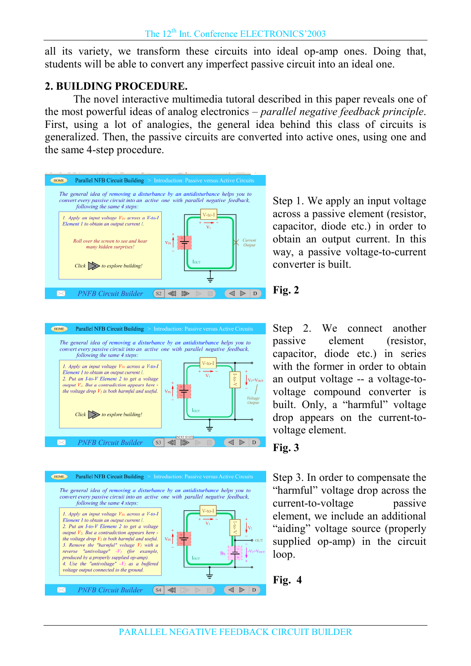all its variety, we transform these circuits into ideal op-amp ones. Doing that, students will be able to convert any imperfect passive circuit into an ideal one.

## **2. BUILDING PROCEDURE.**

The novel interactive multimedia tutoral described in this paper reveals one of the most powerful ideas of analog electronics  $-\frac{p}{q}$  parallel negative feedback principle. First, using a lot of analogies, the general idea behind this class of circuits is generalized. Then, the passive circuits are converted into active ones, using one and the same 4-step procedure.



Step 1. We apply an input voltage across a passive element (resistor, capacitor, diode etc.) in order to obtain an output current. In this way, a passive voltage-to-current converter is built.





## **Fig. 2**

Step 2. We connect another passive element (resistor, capacitor, diode etc.) in series with the former in order to obtain an output voltage -- a voltage-tovoltage compound converter is built. Only, a "harmful" voltage drop appears on the current-tovoltage element.

## **Fig. 3**

Step 3. In order to compensate the "harmful" voltage drop across the current-to-voltage passive element, we include an additional "aiding" voltage source (properly supplied op-amp) in the circuit loop.

**Fig. 4**